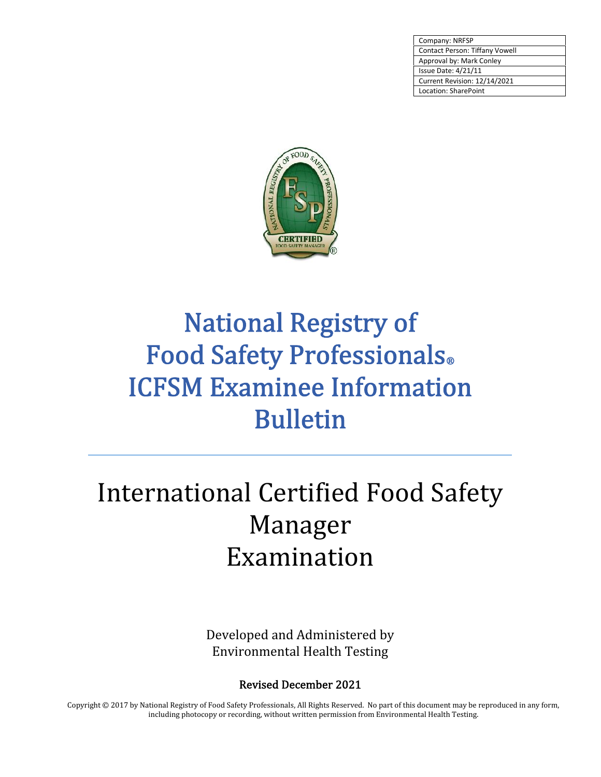| Company: NRFSP                        |
|---------------------------------------|
| <b>Contact Person: Tiffany Vowell</b> |
| Approval by: Mark Conley              |
| <b>Issue Date: 4/21/11</b>            |
| Current Revision: 12/14/2021          |
| Location: SharePoint                  |



# **National Registry of Food Safety Professionals® ICFSM Examinee Information Bulletin**

# International Certified Food Safety Manager Examination

Developed and Administered by Environmental Health Testing

**Revised December 2021**

Copyright © 2017 by National Registry of Food Safety Professionals, All Rights Reserved. No part of this document may be reproduced in any form, including photocopy or recording, without written permission from Environmental Health Testing.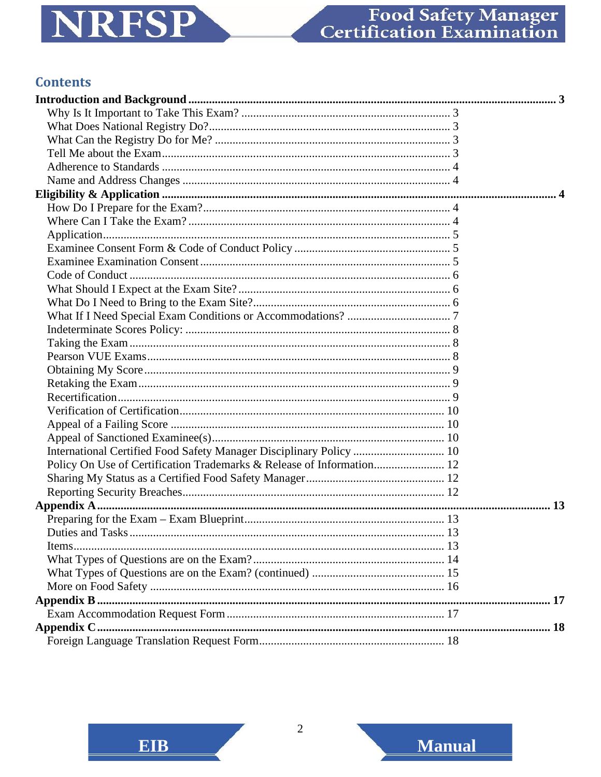# NRFSP

# Food Safety Manager<br>Certification Examination

#### **Contents**

| International Certified Food Safety Manager Disciplinary Policy  10   |  |
|-----------------------------------------------------------------------|--|
| Policy On Use of Certification Trademarks & Release of Information 12 |  |
|                                                                       |  |
|                                                                       |  |
|                                                                       |  |
|                                                                       |  |
| Duties and Tasks                                                      |  |
|                                                                       |  |
|                                                                       |  |
|                                                                       |  |
|                                                                       |  |
|                                                                       |  |
|                                                                       |  |
|                                                                       |  |
|                                                                       |  |

## EIB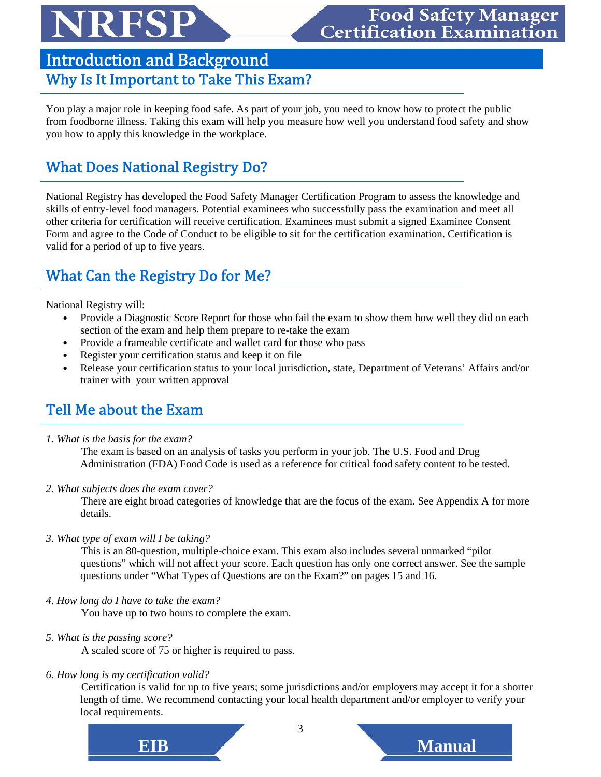### **Introduction and Background Why Is It Important to Take This Exam?**

You play a major role in keeping food safe. As part of your job, you need to know how to protect the public from foodborne illness. Taking this exam will help you measure how well you understand food safety and show you how to apply this knowledge in the workplace.

## **What Does National Registry Do?**

National Registry has developed the Food Safety Manager Certification Program to assess the knowledge and skills of entry-level food managers. Potential examinees who successfully pass the examination and meet all other criteria for certification will receive certification. Examinees must submit a signed Examinee Consent Form and agree to the Code of Conduct to be eligible to sit for the certification examination. Certification is valid for a period of up to five years.

## **What Can the Registry Do for Me?**

National Registry will:

- Provide a Diagnostic Score Report for those who fail the exam to show them how well they did on each section of the exam and help them prepare to re-take the exam
- Provide a frameable certificate and wallet card for those who pass
- Register your certification status and keep it on file
- Release your certification status to your local jurisdiction, state, Department of Veterans' Affairs and/or trainer with your written approval

#### **Tell Me about the Exam**

*1. What is the basis for the exam?*

The exam is based on an analysis of tasks you perform in your job. The U.S. Food and Drug Administration (FDA) Food Code is used as a reference for critical food safety content to be tested.

*2. What subjects does the exam cover?*

There are eight broad categories of knowledge that are the focus of the exam. See Appendix A for more details.

*3. What type of exam will I be taking?*

This is an 80-question, multiple-choice exam. This exam also includes several unmarked "pilot questions" which will not affect your score. Each question has only one correct answer. See the sample questions under "What Types of Questions are on the Exam?" on pages 15 and 16.

*4. How long do I have to take the exam?*

You have up to two hours to complete the exam.

*5. What is the passing score?*

A scaled score of 75 or higher is required to pass.

*6. How long is my certification valid?*

Certification is valid for up to five years; some jurisdictions and/or employers may accept it for a shorter length of time. We recommend contacting your local health department and/or employer to verify your local requirements.

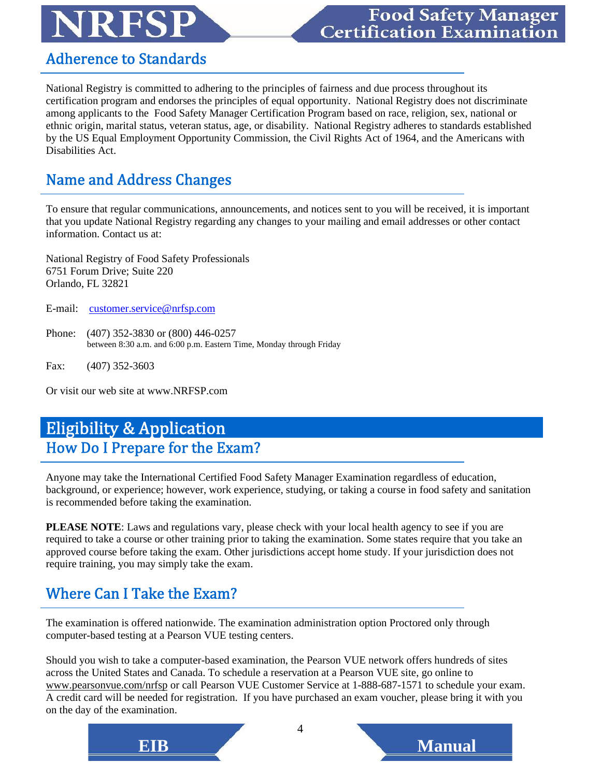

#### **Adherence to Standards**

National Registry is committed to adhering to the principles of fairness and due process throughout its certification program and endorses the principles of equal opportunity. National Registry does not discriminate among applicants to the Food Safety Manager Certification Program based on race, religion, sex, national or ethnic origin, marital status, veteran status, age, or disability. National Registry adheres to standards established by the US Equal Employment Opportunity Commission, the Civil Rights Act of 1964, and the Americans with Disabilities Act.

#### **Name and Address Changes**

To ensure that regular communications, announcements, and notices sent to you will be received, it is important that you update National Registry regarding any changes to your mailing and email addresses or other contact information. Contact us at:

National Registry of Food Safety Professionals 6751 Forum Drive; Suite 220 Orlando, FL 32821

E-mail: customer.service@nrfsp.com

- Phone: (407) 352-3830 or (800) 446-0257 between 8:30 a.m. and 6:00 p.m. Eastern Time, Monday through Friday
- Fax: (407) 352-3603

Or visit our web site at www.NRFSP.com

## **Eligibility & Application How Do I Prepare for the Exam?**

Anyone may take the International Certified Food Safety Manager Examination regardless of education, background, or experience; however, work experience, studying, or taking a course in food safety and sanitation is recommended before taking the examination.

**PLEASE NOTE:** Laws and regulations vary, please check with your local health agency to see if you are required to take a course or other training prior to taking the examination. Some states require that you take an approved course before taking the exam. Other jurisdictions accept home study. If your jurisdiction does not require training, you may simply take the exam.

#### **Where Can I Take the Exam?**

The examination is offered nationwide. The examination administration option Proctored only through computer-based testing at a Pearson VUE testing centers.

Should you wish to take a computer-based examination, the Pearson VUE network offers hundreds of sites across the United States and Canada. To schedule a reservation at a Pearson VUE site, go online to www.pearsonvue.com/nrfsp or call Pearson VUE Customer Service at 1-888-687-1571 to schedule your exam. A credit card will be needed for registration. If you have purchased an exam voucher, please bring it with you on the day of the examination.



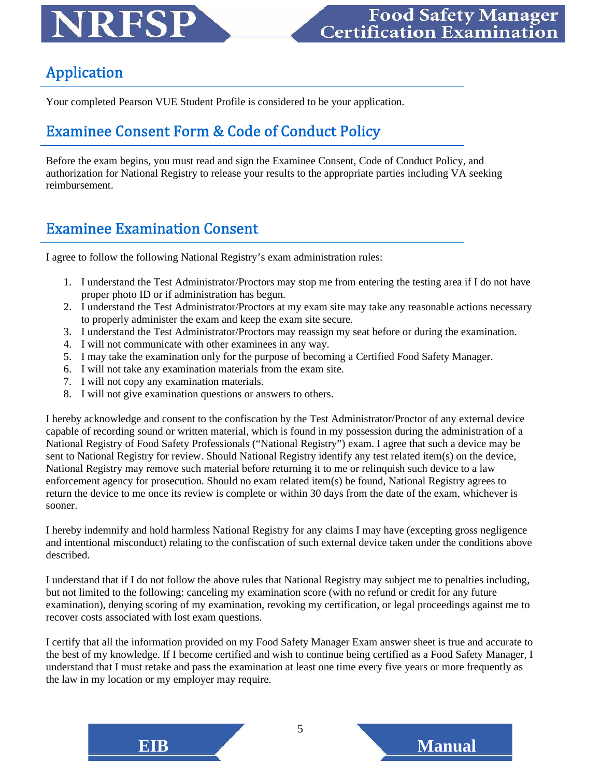# RFSP

## **Application**

Your completed Pearson VUE Student Profile is considered to be your application.

### **Examinee Consent Form & Code of Conduct Policy**

Before the exam begins, you must read and sign the Examinee Consent, Code of Conduct Policy, and authorization for National Registry to release your results to the appropriate parties including VA seeking reimbursement.

#### **Examinee Examination Consent**

I agree to follow the following National Registry's exam administration rules:

- 1. I understand the Test Administrator/Proctors may stop me from entering the testing area if I do not have proper photo ID or if administration has begun.
- 2. I understand the Test Administrator/Proctors at my exam site may take any reasonable actions necessary to properly administer the exam and keep the exam site secure.
- 3. I understand the Test Administrator/Proctors may reassign my seat before or during the examination.
- 4. I will not communicate with other examinees in any way.
- 5. I may take the examination only for the purpose of becoming a Certified Food Safety Manager.
- 6. I will not take any examination materials from the exam site.
- 7. I will not copy any examination materials.
- 8. I will not give examination questions or answers to others.

I hereby acknowledge and consent to the confiscation by the Test Administrator/Proctor of any external device capable of recording sound or written material, which is found in my possession during the administration of a National Registry of Food Safety Professionals ("National Registry") exam. I agree that such a device may be sent to National Registry for review. Should National Registry identify any test related item(s) on the device, National Registry may remove such material before returning it to me or relinquish such device to a law enforcement agency for prosecution. Should no exam related item(s) be found, National Registry agrees to return the device to me once its review is complete or within 30 days from the date of the exam, whichever is sooner.

I hereby indemnify and hold harmless National Registry for any claims I may have (excepting gross negligence and intentional misconduct) relating to the confiscation of such external device taken under the conditions above described.

I understand that if I do not follow the above rules that National Registry may subject me to penalties including, but not limited to the following: canceling my examination score (with no refund or credit for any future examination), denying scoring of my examination, revoking my certification, or legal proceedings against me to recover costs associated with lost exam questions.

I certify that all the information provided on my Food Safety Manager Exam answer sheet is true and accurate to the best of my knowledge. If I become certified and wish to continue being certified as a Food Safety Manager, I understand that I must retake and pass the examination at least one time every five years or more frequently as the law in my location or my employer may require.



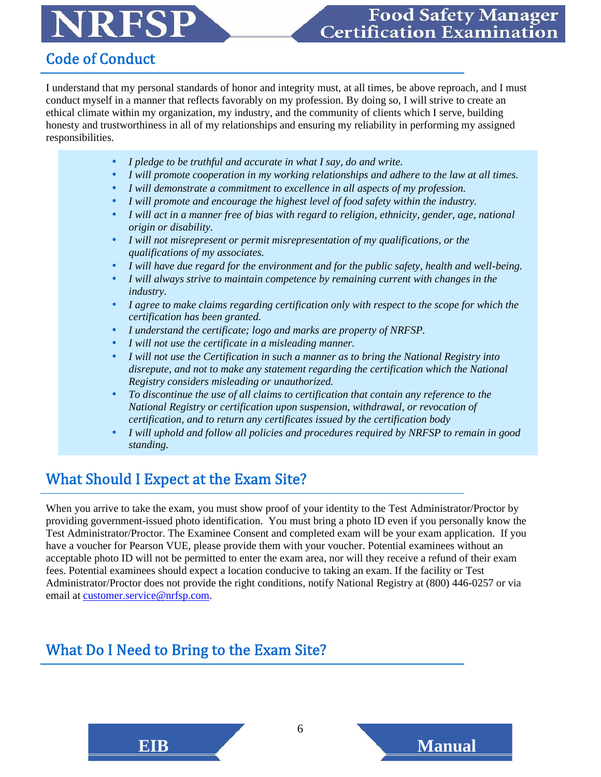# RFSP

# Food Safety Manager<br>Certification Examination

#### **Code of Conduct**

I understand that my personal standards of honor and integrity must, at all times, be above reproach, and I must conduct myself in a manner that reflects favorably on my profession. By doing so, I will strive to create an ethical climate within my organization, my industry, and the community of clients which I serve, building honesty and trustworthiness in all of my relationships and ensuring my reliability in performing my assigned responsibilities.

*I pledge to be truthful and accurate in what I say, do and write.*

- *I will promote cooperation in my working relationships and adhere to the law at all times.*
- *I will demonstrate a commitment to excellence in all aspects of my profession.*
- *I will promote and encourage the highest level of food safety within the industry.*
- *I will act in a manner free of bias with regard to religion, ethnicity, gender, age, national origin or disability.*
- *I will not misrepresent or permit misrepresentation of my qualifications, or the qualifications of my associates.*
- *I will have due regard for the environment and for the public safety, health and well-being.*
- *I will always strive to maintain competence by remaining current with changes in the industry.*
- *I agree to make claims regarding certification only with respect to the scope for which the certification has been granted.*
- *I understand the certificate; logo and marks are property of NRFSP.*
- *I will not use the certificate in a misleading manner.*
- *I will not use the Certification in such a manner as to bring the National Registry into disrepute, and not to make any statement regarding the certification which the National Registry considers misleading or unauthorized.*
- *To discontinue the use of all claims to certification that contain any reference to the National Registry or certification upon suspension, withdrawal, or revocation of certification, and to return any certificates issued by the certification body*
- *I will uphold and follow all policies and procedures required by NRFSP to remain in good standing.*

### **What Should I Expect at the Exam Site?**

When you arrive to take the exam, you must show proof of your identity to the Test Administrator/Proctor by providing government-issued photo identification. You must bring a photo ID even if you personally know the Test Administrator/Proctor. The Examinee Consent and completed exam will be your exam application. If you have a voucher for Pearson VUE, please provide them with your voucher. Potential examinees without an acceptable photo ID will not be permitted to enter the exam area, nor will they receive a refund of their exam fees. Potential examinees should expect a location conducive to taking an exam. If the facility or Test Administrator/Proctor does not provide the right conditions, notify National Registry at (800) 446-0257 or via email at customer.service@nrfsp.com.

### **What Do I Need to Bring to the Exam Site?**

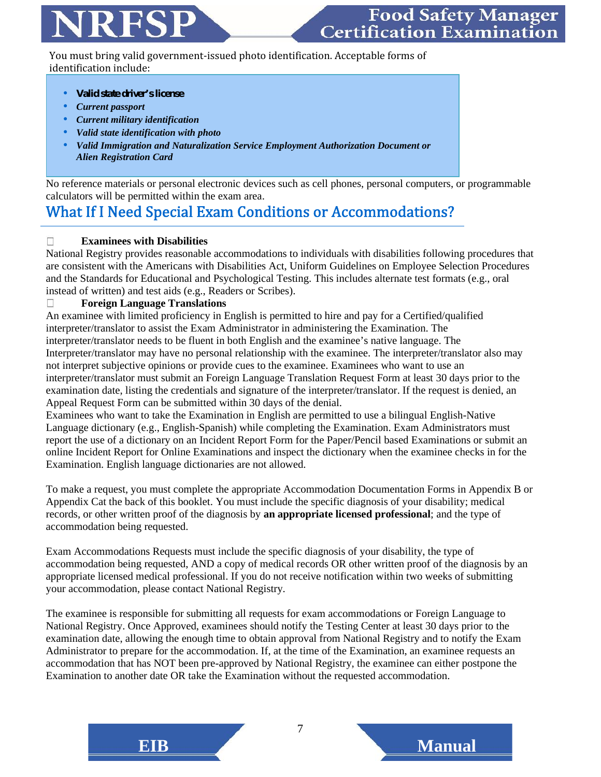

You must bring valid government-issued photo identification. Acceptable forms of identification include:

- *Valid state driver's license*
- *Current passport*
- *Current military identification*
- *Valid state identification with photo*
- *Valid Immigration and Naturalization Service Employment Authorization Document or Alien Registration Card*

No reference materials or personal electronic devices such as cell phones, personal computers, or programmable calculators will be permitted within the exam area.

### **What If I Need Special Exam Conditions or Accommodations?**

#### П **Examinees with Disabilities**

National Registry provides reasonable accommodations to individuals with disabilities following procedures that are consistent with the Americans with Disabilities Act, Uniform Guidelines on Employee Selection Procedures and the Standards for Educational and Psychological Testing. This includes alternate test formats (e.g., oral instead of written) and test aids (e.g., Readers or Scribes).

#### **Foreign Language Translations**  $\Box$

An examinee with limited proficiency in English is permitted to hire and pay for a Certified/qualified interpreter/translator to assist the Exam Administrator in administering the Examination. The interpreter/translator needs to be fluent in both English and the examinee's native language. The Interpreter/translator may have no personal relationship with the examinee. The interpreter/translator also may not interpret subjective opinions or provide cues to the examinee. Examinees who want to use an interpreter/translator must submit an Foreign Language Translation Request Form at least 30 days prior to the examination date, listing the credentials and signature of the interpreter/translator. If the request is denied, an Appeal Request Form can be submitted within 30 days of the denial.

Examinees who want to take the Examination in English are permitted to use a bilingual English-Native Language dictionary (e.g., English-Spanish) while completing the Examination. Exam Administrators must report the use of a dictionary on an Incident Report Form for the Paper/Pencil based Examinations or submit an online Incident Report for Online Examinations and inspect the dictionary when the examinee checks in for the Examination. English language dictionaries are not allowed.

To make a request, you must complete the appropriate Accommodation Documentation Forms in Appendix B or Appendix Cat the back of this booklet. You must include the specific diagnosis of your disability; medical records, or other written proof of the diagnosis by **an appropriate licensed professional**; and the type of accommodation being requested.

Exam Accommodations Requests must include the specific diagnosis of your disability, the type of accommodation being requested, AND a copy of medical records OR other written proof of the diagnosis by an appropriate licensed medical professional. If you do not receive notification within two weeks of submitting your accommodation, please contact National Registry.

The examinee is responsible for submitting all requests for exam accommodations or Foreign Language to National Registry. Once Approved, examinees should notify the Testing Center at least 30 days prior to the examination date, allowing the enough time to obtain approval from National Registry and to notify the Exam Administrator to prepare for the accommodation. If, at the time of the Examination, an examinee requests an accommodation that has NOT been pre-approved by National Registry, the examinee can either postpone the Examination to another date OR take the Examination without the requested accommodation.



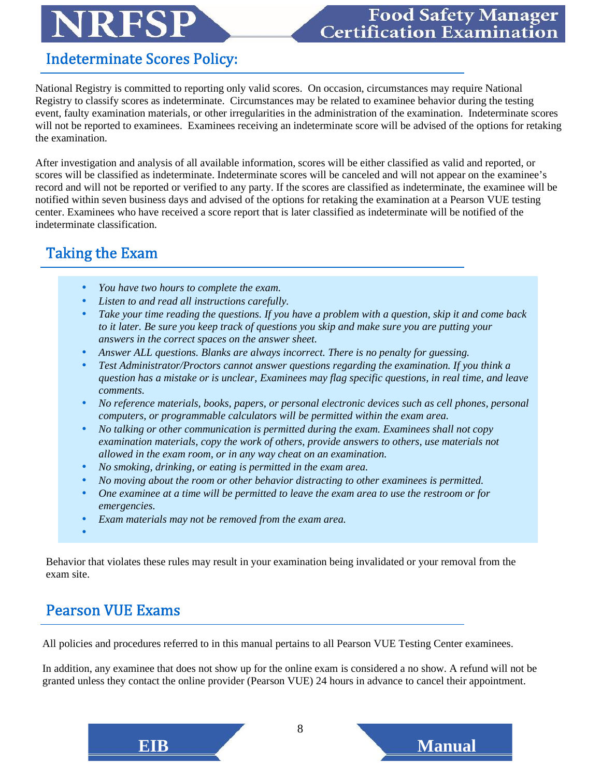

# Food Safety Manager<br>Certification Examination

#### **Indeterminate Scores Policy:**

National Registry is committed to reporting only valid scores. On occasion, circumstances may require National Registry to classify scores as indeterminate. Circumstances may be related to examinee behavior during the testing event, faulty examination materials, or other irregularities in the administration of the examination. Indeterminate scores will not be reported to examinees. Examinees receiving an indeterminate score will be advised of the options for retaking the examination.

After investigation and analysis of all available information, scores will be either classified as valid and reported, or scores will be classified as indeterminate. Indeterminate scores will be canceled and will not appear on the examinee's record and will not be reported or verified to any party. If the scores are classified as indeterminate, the examinee will be notified within seven business days and advised of the options for retaking the examination at a Pearson VUE testing center. Examinees who have received a score report that is later classified as indeterminate will be notified of the indeterminate classification.

### **Taking the Exam**

- *You have two hours to complete the exam.*
- *Listen to and read all instructions carefully.*
- *Take your time reading the questions. If you have a problem with a question, skip it and come back to it later. Be sure you keep track of questions you skip and make sure you are putting your answers in the correct spaces on the answer sheet.*
- *Answer ALL questions. Blanks are always incorrect. There is no penalty for guessing.*
- *Test Administrator/Proctors cannot answer questions regarding the examination. If you think a question has a mistake or is unclear, Examinees may flag specific questions, in real time, and leave comments.*
- *No reference materials, books, papers, or personal electronic devices such as cell phones, personal computers, or programmable calculators will be permitted within the exam area.*
- *No talking or other communication is permitted during the exam. Examinees shall not copy examination materials, copy the work of others, provide answers to others, use materials not allowed in the exam room, or in any way cheat on an examination.*
- *No smoking, drinking, or eating is permitted in the exam area.*
- *No moving about the room or other behavior distracting to other examinees is permitted.*
- *One examinee at a time will be permitted to leave the exam area to use the restroom or for emergencies.*
	- *Exam materials may not be removed from the exam area.*

Behavior that violates these rules may result in your examination being invalidated or your removal from the exam site.

### **Pearson VUE Exams**

 $\int$ 

All policies and procedures referred to in this manual pertains to all Pearson VUE Testing Center examinees.

In addition, any examinee that does not show up for the online exam is considered a no show. A refund will not be granted unless they contact the online provider (Pearson VUE) 24 hours in advance to cancel their appointment.



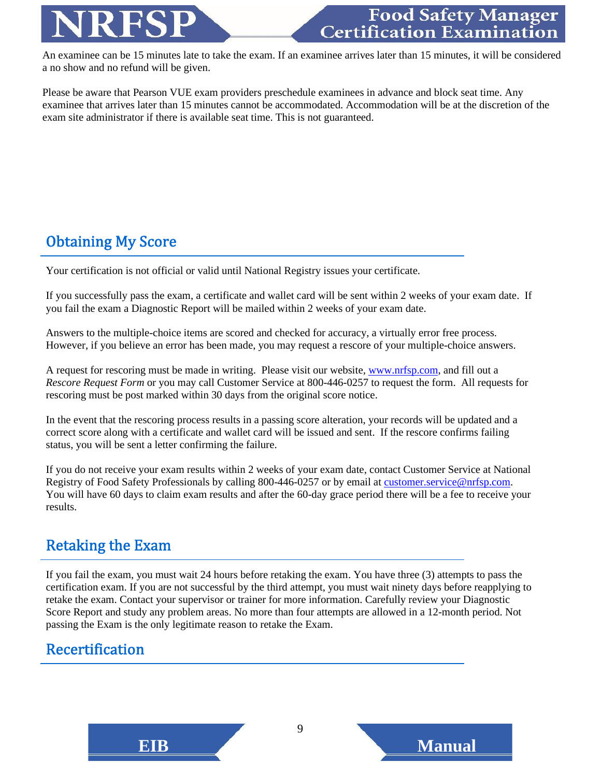

An examinee can be 15 minutes late to take the exam. If an examinee arrives later than 15 minutes, it will be considered a no show and no refund will be given.

Please be aware that Pearson VUE exam providers preschedule examinees in advance and block seat time. Any examinee that arrives later than 15 minutes cannot be accommodated. Accommodation will be at the discretion of the exam site administrator if there is available seat time. This is not guaranteed.

### **Obtaining My Score**

Your certification is not official or valid until National Registry issues your certificate.

If you successfully pass the exam, a certificate and wallet card will be sent within 2 weeks of your exam date. If you fail the exam a Diagnostic Report will be mailed within 2 weeks of your exam date.

Answers to the multiple-choice items are scored and checked for accuracy, a virtually error free process. However, if you believe an error has been made, you may request a rescore of your multiple-choice answers.

A request for rescoring must be made in writing. Please visit our website, www.nrfsp.com, and fill out a *Rescore Request Form* or you may call Customer Service at 800-446-0257 to request the form. All requests for rescoring must be post marked within 30 days from the original score notice.

In the event that the rescoring process results in a passing score alteration, your records will be updated and a correct score along with a certificate and wallet card will be issued and sent. If the rescore confirms failing status, you will be sent a letter confirming the failure.

If you do not receive your exam results within 2 weeks of your exam date, contact Customer Service at National Registry of Food Safety Professionals by calling 800-446-0257 or by email at customer.service@nrfsp.com. You will have 60 days to claim exam results and after the 60-day grace period there will be a fee to receive your results.

#### **Retaking the Exam**

If you fail the exam, you must wait 24 hours before retaking the exam. You have three (3) attempts to pass the certification exam. If you are not successful by the third attempt, you must wait ninety days before reapplying to retake the exam. Contact your supervisor or trainer for more information. Carefully review your Diagnostic Score Report and study any problem areas. No more than four attempts are allowed in a 12-month period. Not passing the Exam is the only legitimate reason to retake the Exam.

#### **Recertification**

9

**EIB Manual**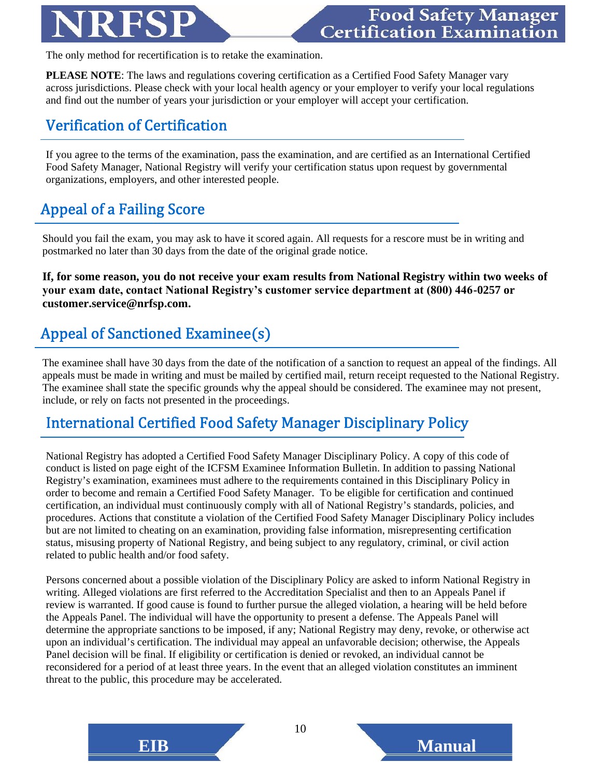

The only method for recertification is to retake the examination.

PLEASE NOTE: The laws and regulations covering certification as a Certified Food Safety Manager vary across jurisdictions. Please check with your local health agency or your employer to verify your local regulations and find out the number of years your jurisdiction or your employer will accept your certification.

#### **Verification of Certification**

If you agree to the terms of the examination, pass the examination, and are certified as an International Certified Food Safety Manager, National Registry will verify your certification status upon request by governmental organizations, employers, and other interested people.

### **Appeal of a Failing Score**

Should you fail the exam, you may ask to have it scored again. All requests for a rescore must be in writing and postmarked no later than 30 days from the date of the original grade notice.

**If, for some reason, you do not receive your exam results from National Registry within two weeks of your exam date, contact National Registry's customer service department at (800) 446-0257 or customer.service@nrfsp.com.**

### **Appeal of Sanctioned Examinee(s)**

The examinee shall have 30 days from the date of the notification of a sanction to request an appeal of the findings. All appeals must be made in writing and must be mailed by certified mail, return receipt requested to the National Registry. The examinee shall state the specific grounds why the appeal should be considered. The examinee may not present, include, or rely on facts not presented in the proceedings.

#### **International Certified Food Safety Manager Disciplinary Policy**

National Registry has adopted a Certified Food Safety Manager Disciplinary Policy. A copy of this code of conduct is listed on page eight of the ICFSM Examinee Information Bulletin. In addition to passing National Registry's examination, examinees must adhere to the requirements contained in this Disciplinary Policy in order to become and remain a Certified Food Safety Manager. To be eligible for certification and continued certification, an individual must continuously comply with all of National Registry's standards, policies, and procedures. Actions that constitute a violation of the Certified Food Safety Manager Disciplinary Policy includes but are not limited to cheating on an examination, providing false information, misrepresenting certification status, misusing property of National Registry, and being subject to any regulatory, criminal, or civil action related to public health and/or food safety.

Persons concerned about a possible violation of the Disciplinary Policy are asked to inform National Registry in writing. Alleged violations are first referred to the Accreditation Specialist and then to an Appeals Panel if review is warranted. If good cause is found to further pursue the alleged violation, a hearing will be held before the Appeals Panel. The individual will have the opportunity to present a defense. The Appeals Panel will determine the appropriate sanctions to be imposed, if any; National Registry may deny, revoke, or otherwise act upon an individual's certification. The individual may appeal an unfavorable decision; otherwise, the Appeals Panel decision will be final. If eligibility or certification is denied or revoked, an individual cannot be reconsidered for a period of at least three years. In the event that an alleged violation constitutes an imminent threat to the public, this procedure may be accelerated.



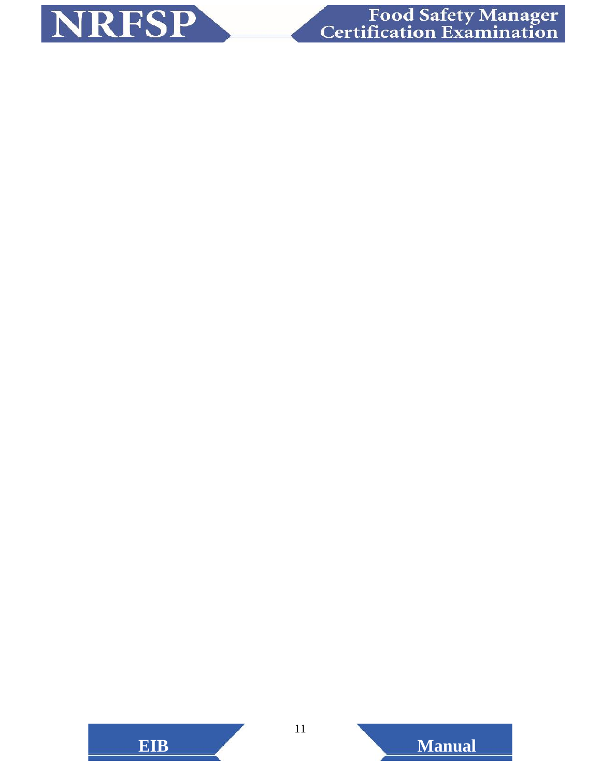

| BIB |  |
|-----|--|

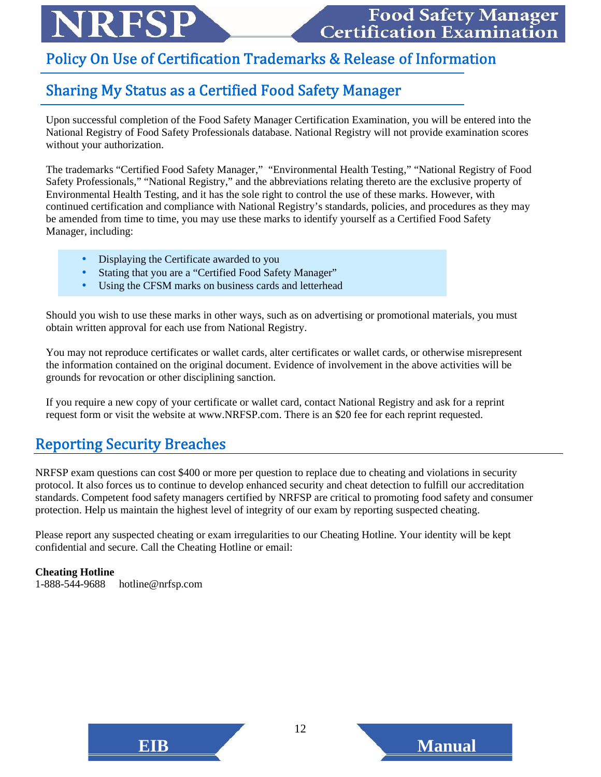#### **Policy On Use of Certification Trademarks & Release of Information**

### **Sharing My Status as a Certified Food Safety Manager**

Upon successful completion of the Food Safety Manager Certification Examination, you will be entered into the National Registry of Food Safety Professionals database. National Registry will not provide examination scores without your authorization.

The trademarks "Certified Food Safety Manager," "Environmental Health Testing," "National Registry of Food Safety Professionals," "National Registry," and the abbreviations relating thereto are the exclusive property of Environmental Health Testing, and it has the sole right to control the use of these marks. However, with continued certification and compliance with National Registry's standards, policies, and procedures as they may be amended from time to time, you may use these marks to identify yourself as a Certified Food Safety Manager, including:

 Displaying the Certificate awarded to you Stating that you are a "Certified Food Safety Manager" Using the CFSM marks on business cards and letterhead

Should you wish to use these marks in other ways, such as on advertising or promotional materials, you must obtain written approval for each use from National Registry.

You may not reproduce certificates or wallet cards, alter certificates or wallet cards, or otherwise misrepresent the information contained on the original document. Evidence of involvement in the above activities will be grounds for revocation or other disciplining sanction.

If you require a new copy of your certificate or wallet card, contact National Registry and ask for a reprint request form or visit the website at www.NRFSP.com. There is an \$20 fee for each reprint requested.

#### **Reporting Security Breaches**

NRFSP exam questions can cost \$400 or more per question to replace due to cheating and violations in security protocol. It also forces us to continue to develop enhanced security and cheat detection to fulfill our accreditation standards. Competent food safety managers certified by NRFSP are critical to promoting food safety and consumer protection. Help us maintain the highest level of integrity of our exam by reporting suspected cheating.

Please report any suspected cheating or exam irregularities to our Cheating Hotline. Your identity will be kept confidential and secure. Call the Cheating Hotline or email:

#### **Cheating Hotline**

1-888-544-9688 hotline@nrfsp.com

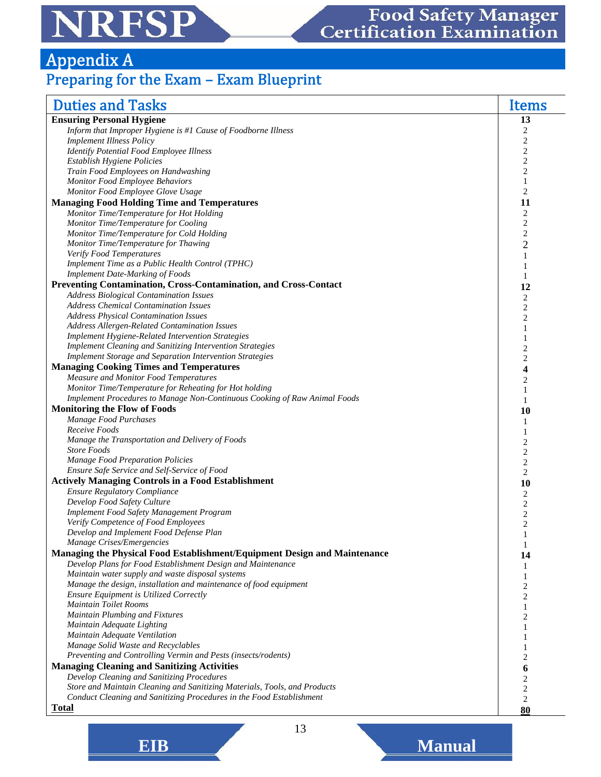# NRFSP

# **Appendix A**

# **Preparing for the Exam – Exam Blueprint**

| <b>Duties and Tasks</b>                                                   | <b>Items</b>     |
|---------------------------------------------------------------------------|------------------|
| <b>Ensuring Personal Hygiene</b>                                          | 13               |
| Inform that Improper Hygiene is #1 Cause of Foodborne Illness             | 2                |
| <b>Implement Illness Policy</b>                                           | $\overline{c}$   |
| Identify Potential Food Employee Illness                                  | $\sqrt{2}$       |
| Establish Hygiene Policies                                                | $\sqrt{2}$       |
| Train Food Employees on Handwashing                                       | $\overline{2}$   |
| Monitor Food Employee Behaviors                                           | 1                |
| Monitor Food Employee Glove Usage                                         | $\overline{2}$   |
| <b>Managing Food Holding Time and Temperatures</b>                        | 11               |
| Monitor Time/Temperature for Hot Holding                                  | $\boldsymbol{2}$ |
| Monitor Time/Temperature for Cooling                                      | $\overline{c}$   |
| Monitor Time/Temperature for Cold Holding                                 | $\sqrt{2}$       |
|                                                                           |                  |
| Monitor Time/Temperature for Thawing                                      | $\overline{2}$   |
| Verify Food Temperatures                                                  | 1                |
| Implement Time as a Public Health Control (TPHC)                          | 1                |
| <b>Implement Date-Marking of Foods</b>                                    | 1                |
| Preventing Contamination, Cross-Contamination, and Cross-Contact          | 12               |
| <b>Address Biological Contamination Issues</b>                            | $\overline{c}$   |
| <b>Address Chemical Contamination Issues</b>                              | $\sqrt{2}$       |
| <b>Address Physical Contamination Issues</b>                              | 2                |
| Address Allergen-Related Contamination Issues                             | 1                |
| <b>Implement Hygiene-Related Intervention Strategies</b>                  | 1                |
| Implement Cleaning and Sanitizing Intervention Strategies                 | $\overline{c}$   |
| Implement Storage and Separation Intervention Strategies                  | $\overline{c}$   |
| <b>Managing Cooking Times and Temperatures</b>                            | 4                |
| Measure and Monitor Food Temperatures                                     | 2                |
| Monitor Time/Temperature for Reheating for Hot holding                    | 1                |
| Implement Procedures to Manage Non-Continuous Cooking of Raw Animal Foods | 1                |
| <b>Monitoring the Flow of Foods</b>                                       |                  |
| Manage Food Purchases                                                     | 10               |
| Receive Foods                                                             | 1                |
|                                                                           | 1                |
| Manage the Transportation and Delivery of Foods                           | $\overline{c}$   |
| <b>Store Foods</b>                                                        | $\sqrt{2}$       |
| Manage Food Preparation Policies                                          | $\overline{c}$   |
| Ensure Safe Service and Self-Service of Food                              | $\overline{c}$   |
| <b>Actively Managing Controls in a Food Establishment</b>                 | 10               |
| <b>Ensure Regulatory Compliance</b>                                       | 2                |
| Develop Food Safety Culture                                               | $\sqrt{2}$       |
| <b>Implement Food Safety Management Program</b>                           | $\overline{c}$   |
| Verify Competence of Food Employees                                       | $\overline{2}$   |
| Develop and Implement Food Defense Plan                                   | $\mathbf{I}$     |
| Manage Crises/Emergencies                                                 | 1                |
| Managing the Physical Food Establishment/Equipment Design and Maintenance | 14               |
| Develop Plans for Food Establishment Design and Maintenance               | 1                |
| Maintain water supply and waste disposal systems                          | 1                |
| Manage the design, installation and maintenance of food equipment         | $\overline{c}$   |
| Ensure Equipment is Utilized Correctly                                    | $\overline{c}$   |
| Maintain Toilet Rooms                                                     | 1                |
| Maintain Plumbing and Fixtures                                            | $\overline{2}$   |
| Maintain Adequate Lighting                                                |                  |
| Maintain Adequate Ventilation                                             |                  |
| Manage Solid Waste and Recyclables                                        |                  |
| Preventing and Controlling Vermin and Pests (insects/rodents)             |                  |
| <b>Managing Cleaning and Sanitizing Activities</b>                        | 2                |
|                                                                           | 6                |
| Develop Cleaning and Sanitizing Procedures                                | $\overline{c}$   |
| Store and Maintain Cleaning and Sanitizing Materials, Tools, and Products | $\overline{c}$   |
| Conduct Cleaning and Sanitizing Procedures in the Food Establishment      | $\overline{c}$   |
| <b>Total</b>                                                              | 80               |

13

**EIB Manual**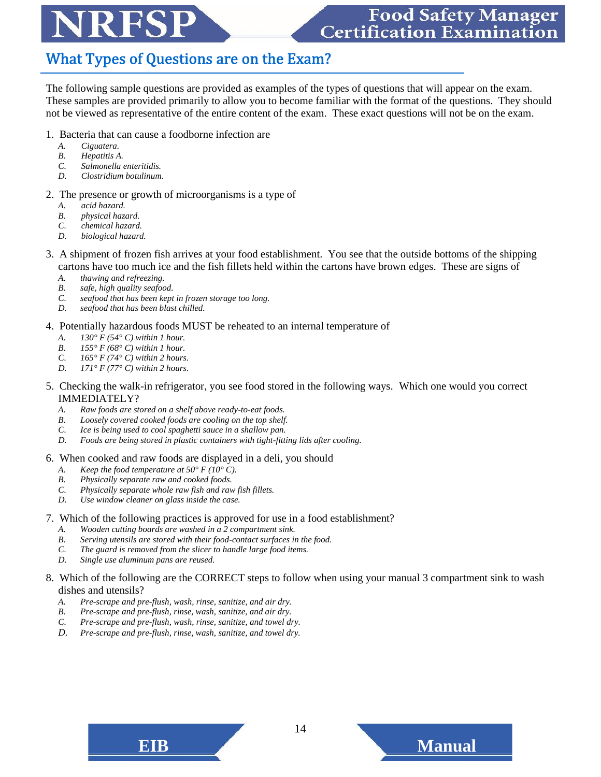

### **What Types of Questions are on the Exam?**

The following sample questions are provided as examples of the types of questions that will appear on the exam. These samples are provided primarily to allow you to become familiar with the format of the questions. They should not be viewed as representative of the entire content of the exam. These exact questions will not be on the exam.

- 1. Bacteria that can cause a foodborne infection are
	- *A. Ciguatera.*
	- *B. Hepatitis A.*
	- *C. Salmonella enteritidis.*
	- *D. Clostridium botulinum.*
- 2. The presence or growth of microorganisms is a type of
	- *A. acid hazard.*
	- *B. physical hazard.*
	- *C. chemical hazard.*
	- *D. biological hazard.*
- 3. A shipment of frozen fish arrives at your food establishment. You see that the outside bottoms of the shipping cartons have too much ice and the fish fillets held within the cartons have brown edges. These are signs of
	- *A. thawing and refreezing.*
	- *B. safe, high quality seafood.*
	- *C. seafood that has been kept in frozen storage too long.*
	- *D. seafood that has been blast chilled.*
- 4. Potentially hazardous foods MUST be reheated to an internal temperature of
	- *A. 130° F (54° C) within 1 hour.*
	- *B. 155° F (68° C) within 1 hour.*
	- *C. 165° F (74° C) within 2 hours.*
	- *D. 171° F (77° C) within 2 hours.*
- 5. Checking the walk-in refrigerator, you see food stored in the following ways. Which one would you correct IMMEDIATELY?
	- *A. Raw foods are stored on a shelf above ready-to-eat foods.*
	- *B. Loosely covered cooked foods are cooling on the top shelf.*
	- *C. Ice is being used to cool spaghetti sauce in a shallow pan.*
	- *D. Foods are being stored in plastic containers with tight-fitting lids after cooling.*

#### 6. When cooked and raw foods are displayed in a deli, you should

- *A. Keep the food temperature at 50° F (10° C).*
- *B. Physically separate raw and cooked foods.*
- *C. Physically separate whole raw fish and raw fish fillets.*
- *D. Use window cleaner on glass inside the case.*
- 7. Which of the following practices is approved for use in a food establishment?
	- *A. Wooden cutting boards are washed in a*  $\overline{2}$  *compartment sink.*<br>*B. Serving utensils are stored with their food-contact surfaces in* 
		- *B. Serving utensils are stored with their food-contact surfaces in the food.*
	- *C. The guard is removed from the slicer to handle large food items.*
	- *D. Single use aluminum pans are reused.*
- 8. Which of the following are the CORRECT steps to follow when using your manual 3 compartment sink to wash dishes and utensils?
	- *A. Pre-scrape and pre-flush, wash, rinse, sanitize, and air dry.*
	- *B. Pre-scrape and pre-flush, rinse, wash, sanitize, and air dry.*
	- *C. Pre-scrape and pre-flush, wash, rinse, sanitize, and towel dry.*
	- *D. Pre-scrape and pre-flush, rinse, wash, sanitize, and towel dry.*

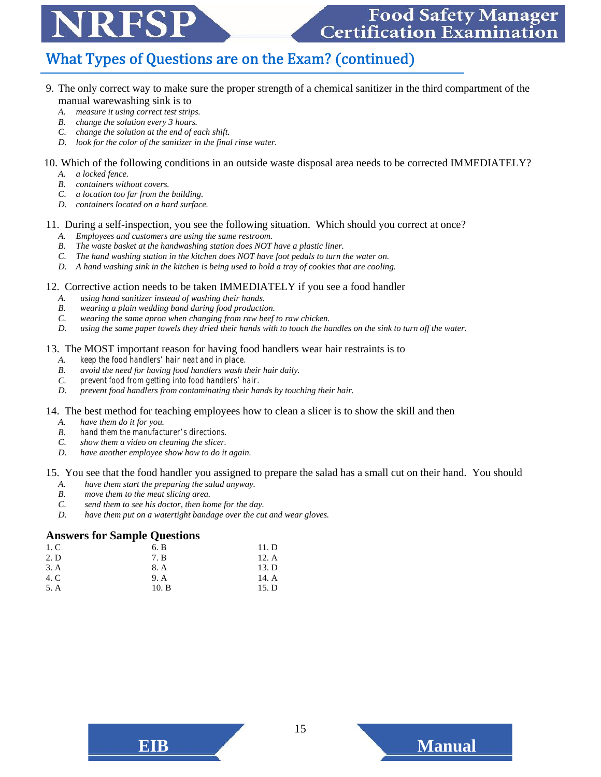## **What Types of Questions are on the Exam? (continued)**

- 9. The only correct way to make sure the proper strength of a chemical sanitizer in the third compartment of the manual warewashing sink is to
	- *A. measure it using correct test strips.*
	- *B. change the solution every 3 hours.*
	- *C. change the solution at the end of each shift.*
	- *D. look for the color of the sanitizer in the final rinse water.*

#### 10. Which of the following conditions in an outside waste disposal area needs to be corrected IMMEDIATELY?

- *A. a locked fence.*
- *B. containers without covers.*
- *C. a location too far from the building.*
- *D. containers located on a hard surface.*

#### 11. During a self-inspection, you see the following situation. Which should you correct at once?

- *A. Employees and customers are using the same restroom.*
- *B. The waste basket at the handwashing station does NOT have a plastic liner.*
- *C. The hand washing station in the kitchen does NOT have foot pedals to turn the water on.*
- *D. A hand washing sink in the kitchen is being used to hold a tray of cookies that are cooling.*

#### 12. Corrective action needs to be taken IMMEDIATELY if you see a food handler

- *A. using hand sanitizer instead of washing their hands.*
- *B. wearing a plain wedding band during food production.*
- *C. wearing the same apron when changing from raw beef to raw chicken.*
- *D. using the same paper towels they dried their hands with to touch the handles on the sink to turn off the water.*

#### 13. The MOST important reason for having food handlers wear hair restraints is to

- *A. keep the food handlers' hair neat and in place.*
- *B. avoid the need for having food handlers wash their hair daily.*
- *C. prevent food from getting into food handlers' hair.*
- *D. prevent food handlers from contaminating their hands by touching their hair.*

#### 14. The best method for teaching employees how to clean a slicer is to show the skill and then

- *A. have them do it for you.*
- *B. hand them the manufacturer's directions.*
- *C. show them a video on cleaning the slicer.*
- *D. have another employee show how to do it again.*

#### 15. You see that the food handler you assigned to prepare the salad has a small cut on their hand. You should

- *A. have them start the preparing the salad anyway.*
- *B. move them to the meat slicing area.*
- *C. send them to see his doctor, then home for the day.*
- *D. have them put on a watertight bandage over the cut and wear gloves.*

#### **Answers for Sample Questions**

| $\sim$ |       |       |
|--------|-------|-------|
| 1, C   | 6. B  | 11. D |
| 2. D   | 7. B  | 12. A |
| 3. A   | 8. A  | 13. D |
| 4. C   | 9. A  | 14. A |
| 5. A   | 10. B | 15. D |
|        |       |       |

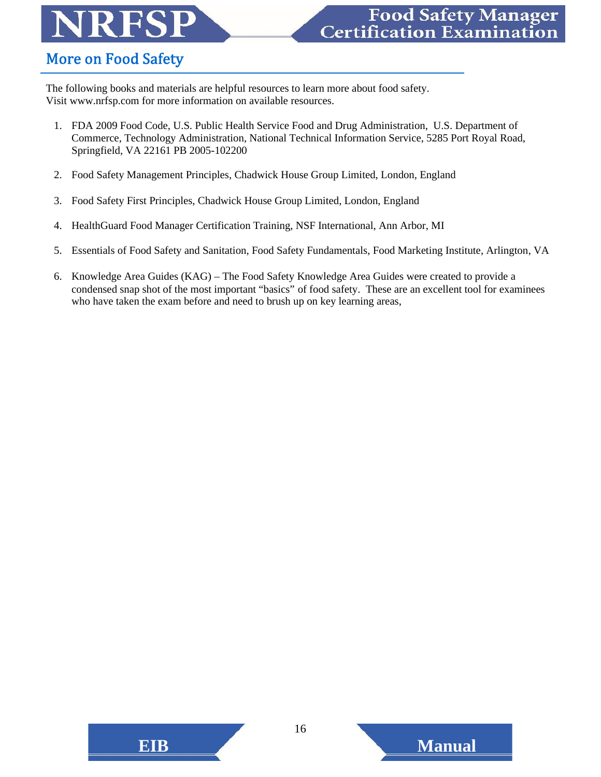# Food Safety Manager<br>Certification Examination

#### **More on Food Safety**

The following books and materials are helpful resources to learn more about food safety. Visit www.nrfsp.com for more information on available resources.

- 1. FDA 2009 Food Code, U.S. Public Health Service Food and Drug Administration, U.S. Department of Commerce, Technology Administration, National Technical Information Service, 5285 Port Royal Road, Springfield, VA 22161 PB 2005-102200
- 2. Food Safety Management Principles, Chadwick House Group Limited, London, England
- 3. Food Safety First Principles, Chadwick House Group Limited, London, England
- 4. HealthGuard Food Manager Certification Training, NSF International, Ann Arbor, MI
- 5. Essentials of Food Safety and Sanitation, Food Safety Fundamentals, Food Marketing Institute, Arlington, VA
- 6. Knowledge Area Guides (KAG) The Food Safety Knowledge Area Guides were created to provide a condensed snap shot of the most important "basics" of food safety. These are an excellent tool for examinees who have taken the exam before and need to brush up on key learning areas,

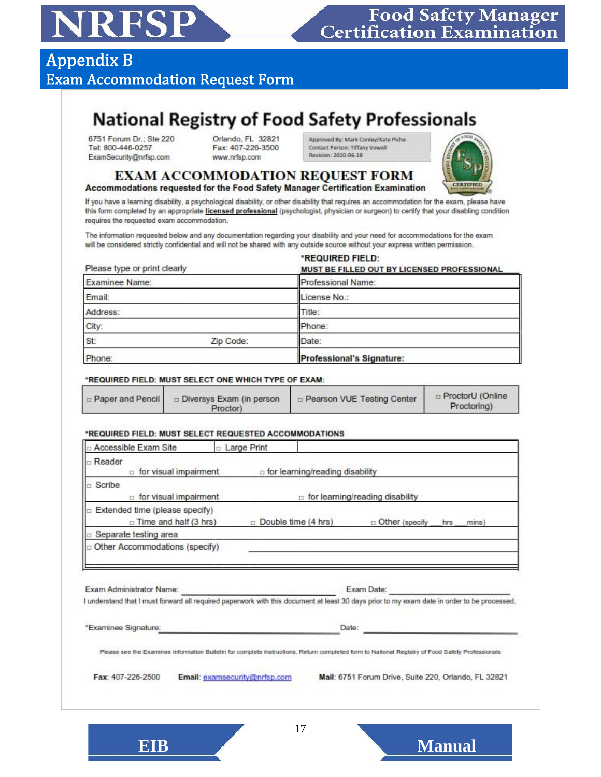# RFSP

# Food Safety Manager<br>Certification Examination

### **Appendix B Exam Accommodation Request Form**

# **National Registry of Food Safety Professionals**

6751 Forum Dr.; Ste 220 Tel: 800-446-0257 ExamSecurity@nrfsp.com

Orlando, FL 32821 Fax: 407-226-3500 www.nrfsp.com

Approved By: Mark Conley/Kate Piche Contact Person: Tiffany Vowell Revision: 2020-06-18



#### **EXAM ACCOMMODATION REQUEST FORM**

Accommodations requested for the Food Safety Manager Certification Examination

If you have a learning disability, a psychological disability, or other disability that requires an accommodation for the exam, please have this form completed by an appropriate licensed professional (psychologist, physician or surgeon) to certify that your disabling condition requires the requested exam accommodation.

The information requested below and any documentation regarding your disability and your need for accommodations for the exam will be considered strictly confidential and will not be shared with any outside source without your express written permission.

| Please type or print clearly |  | <b>REQUIRED FIELD:</b><br>MUST BE FILLED OUT BY LICENSED PROFESSIONAL |  |  |
|------------------------------|--|-----------------------------------------------------------------------|--|--|
| <b>Examinee Name:</b>        |  | Professional Name:                                                    |  |  |
| Email:                       |  | License No.:                                                          |  |  |
| Address:                     |  | Title:                                                                |  |  |
| City:                        |  | Phone:                                                                |  |  |
| St:<br>Zip Code:             |  | Date:                                                                 |  |  |
| Phone:                       |  | Professional's Signature:                                             |  |  |

#### \*REQUIRED FIELD: MUST SELECT ONE WHICH TYPE OF EXAM:

|  | $\Box$ Paper and Pencil $\Box$ Diversys Exam (in person<br>Proctor) | <b>Dearson VUE Testing Center</b> | □ ProctorU (Online<br>Proctoring) |
|--|---------------------------------------------------------------------|-----------------------------------|-----------------------------------|
|--|---------------------------------------------------------------------|-----------------------------------|-----------------------------------|

#### \*REQUIRED FIELD: MUST SELECT REQUESTED ACCOMMODATIONS

| Accessible Exam Site                                                           | <b>Large Print</b> |                                                                |
|--------------------------------------------------------------------------------|--------------------|----------------------------------------------------------------|
| <b>Reader</b><br>n for visual impairment                                       |                    | n for learning/reading disability                              |
| $\Box$ Scribe<br>$\Box$ for visual impairment                                  |                    | $\Box$ for learning/reading disability                         |
| Extended time (please specify)<br>$\mathbb{R}$<br>$\Box$ Time and half (3 hrs) |                    | $\Box$ Double time (4 hrs)<br>D Other (specify<br>hrs<br>mins) |
| $\Box$ Separate testing area                                                   |                    |                                                                |
| $\Box$ Other Accommodations (specify)                                          |                    |                                                                |

| Exam Administrator Name: |                               | Exam Date:                                                                                                                                      |
|--------------------------|-------------------------------|-------------------------------------------------------------------------------------------------------------------------------------------------|
|                          |                               | I understand that I must forward all required paperwork with this document at least 30 days prior to my exam date in order to be processed.     |
| *Examinee Signature:     |                               | Date:                                                                                                                                           |
|                          |                               | Please see the Examinee Information Builetin for complete instructions. Return completed form to National Registry of Food Safety Professionals |
| Fax: 407-226-2500        | Email: examsecurity@nrfsp.com | Mail: 6751 Forum Drive, Suite 220, Orlando, FL 32821                                                                                            |
|                          |                               |                                                                                                                                                 |

**EIB**